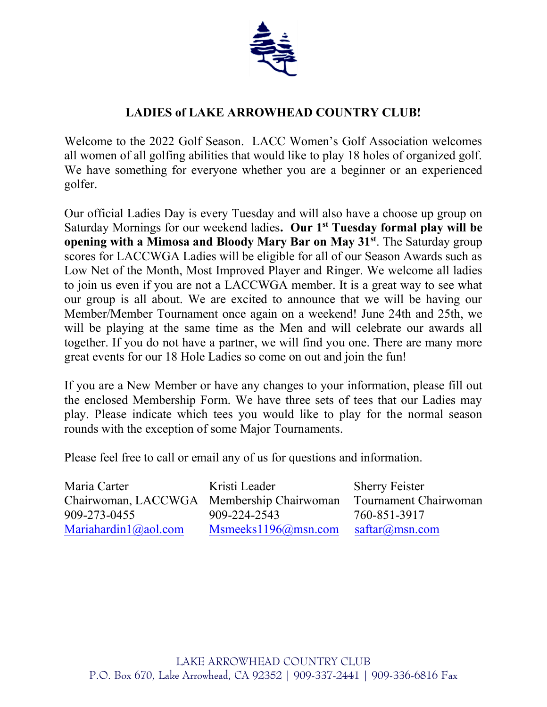

## **LADIES of LAKE ARROWHEAD COUNTRY CLUB!**

Welcome to the 2022 Golf Season. LACC Women's Golf Association welcomes all women of all golfing abilities that would like to play 18 holes of organized golf. We have something for everyone whether you are a beginner or an experienced golfer.

Our official Ladies Day is every Tuesday and will also have a choose up group on Saturday Mornings for our weekend ladies**. Our 1 st Tuesday formal play will be opening with a Mimosa and Bloody Mary Bar on May 31st** . The Saturday group scores for LACCWGA Ladies will be eligible for all of our Season Awards such as Low Net of the Month, Most Improved Player and Ringer. We welcome all ladies to join us even if you are not a LACCWGA member. It is a great way to see what our group is all about. We are excited to announce that we will be having our Member/Member Tournament once again on a weekend! June 24th and 25th, we will be playing at the same time as the Men and will celebrate our awards all together. If you do not have a partner, we will find you one. There are many more great events for our 18 Hole Ladies so come on out and join the fun!

If you are a New Member or have any changes to your information, please fill out the enclosed Membership Form. We have three sets of tees that our Ladies may play. Please indicate which tees you would like to play for the normal season rounds with the exception of some Major Tournaments.

Please feel free to call or email any of us for questions and information.

| Maria Carter         | Kristi Leader                                                   | <b>Sherry Feister</b> |
|----------------------|-----------------------------------------------------------------|-----------------------|
|                      | Chairwoman, LACCWGA Membership Chairwoman Tournament Chairwoman |                       |
| 909-273-0455         | 909-224-2543                                                    | 760-851-3917          |
| Mariahardin1@aol.com | Msmeeks1196@msn.com saftar@msn.com                              |                       |